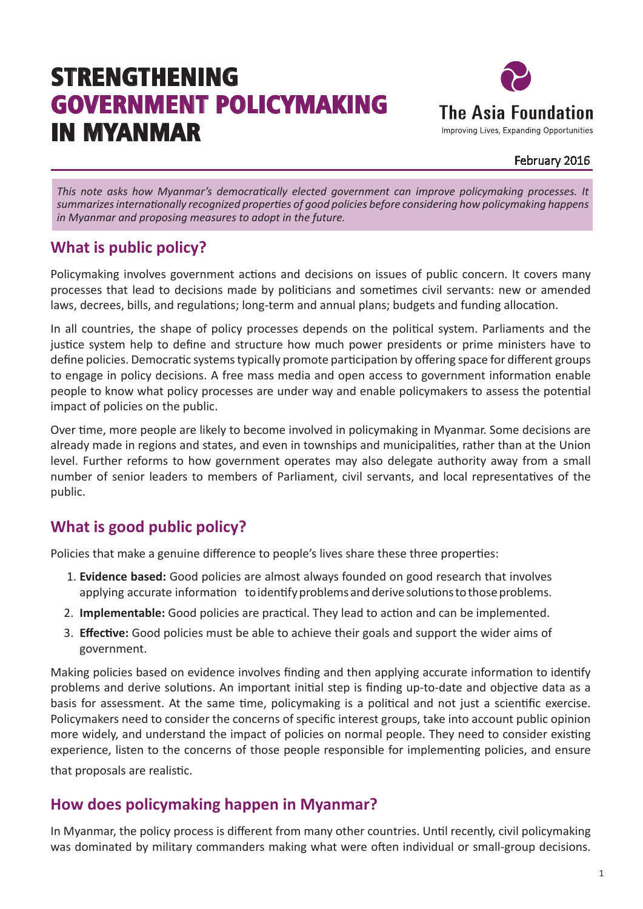# STRENGTHENING GOVERNMENT POLICYMAKING IN MYANMAR



#### February 2016

*This note asks how Myanmar's democratically elected government can improve policymaking processes. It summarizes internationally recognized properties of good policies before considering how policymaking happens in Myanmar and proposing measures to adopt in the future.*

### **What is public policy?**

Policymaking involves government actions and decisions on issues of public concern. It covers many processes that lead to decisions made by politicians and sometimes civil servants: new or amended laws, decrees, bills, and regulations; long-term and annual plans; budgets and funding allocation.

In all countries, the shape of policy processes depends on the political system. Parliaments and the justice system help to define and structure how much power presidents or prime ministers have to define policies. Democratic systems typically promote participation by offering space for different groups to engage in policy decisions. A free mass media and open access to government information enable people to know what policy processes are under way and enable policymakers to assess the potential impact of policies on the public.

Over time, more people are likely to become involved in policymaking in Myanmar. Some decisions are already made in regions and states, and even in townships and municipalities, rather than at the Union level. Further reforms to how government operates may also delegate authority away from a small number of senior leaders to members of Parliament, civil servants, and local representatives of the public.

# **What is good public policy?**

Policies that make a genuine difference to people's lives share these three properties:

- 1. **Evidence based:** Good policies are almost always founded on good research that involves applying accurate information to identify problems and derive solutions to those problems.
- 2. **Implementable:** Good policies are practical. They lead to action and can be implemented.
- 3. **Effective:** Good policies must be able to achieve their goals and support the wider aims of government.

Making policies based on evidence involves finding and then applying accurate information to identify problems and derive solutions. An important initial step is finding up-to-date and objective data as a basis for assessment. At the same time, policymaking is a political and not just a scientific exercise. Policymakers need to consider the concerns of specific interest groups, take into account public opinion more widely, and understand the impact of policies on normal people. They need to consider existing experience, listen to the concerns of those people responsible for implementing policies, and ensure that proposals are realistic.

### **How does policymaking happen in Myanmar?**

In Myanmar, the policy process is different from many other countries. Until recently, civil policymaking was dominated by military commanders making what were often individual or small-group decisions.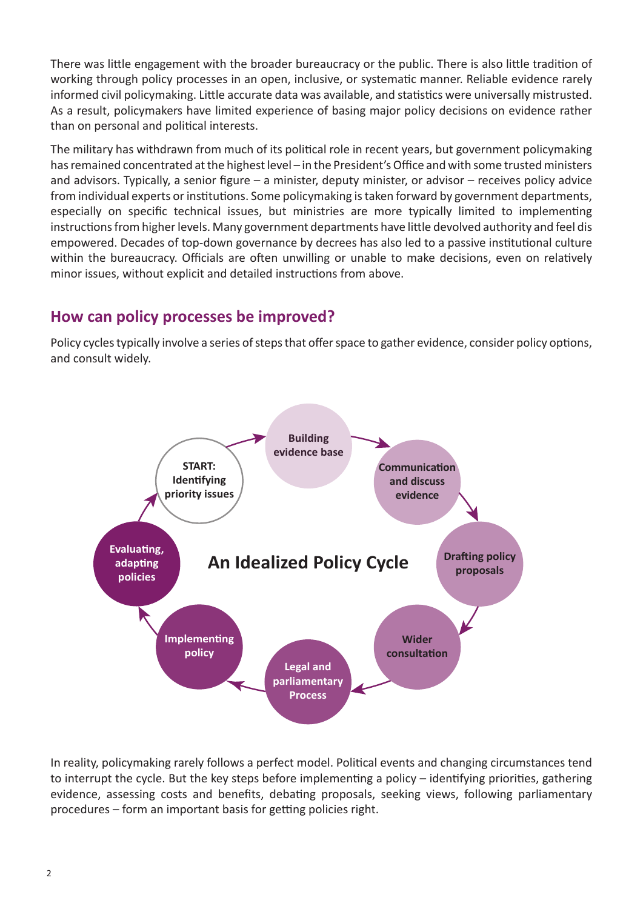There was little engagement with the broader bureaucracy or the public. There is also little tradition of working through policy processes in an open, inclusive, or systematic manner. Reliable evidence rarely informed civil policymaking. Little accurate data was available, and statistics were universally mistrusted. As a result, policymakers have limited experience of basing major policy decisions on evidence rather than on personal and political interests.

The military has withdrawn from much of its political role in recent years, but government policymaking has remained concentrated at the highest level – in the President's Office and with some trusted ministers and advisors. Typically, a senior figure – a minister, deputy minister, or advisor – receives policy advice from individual experts or institutions. Some policymaking is taken forward by government departments, especially on specific technical issues, but ministries are more typically limited to implementing instructions from higher levels. Many government departments have little devolved authority and feel dis empowered. Decades of top-down governance by decrees has also led to a passive institutional culture within the bureaucracy. Officials are often unwilling or unable to make decisions, even on relatively minor issues, without explicit and detailed instructions from above.

#### **How can policy processes be improved?**

Policy cycles typically involve a series of steps that offer space to gather evidence, consider policy options, and consult widely.



In reality, policymaking rarely follows a perfect model. Political events and changing circumstances tend to interrupt the cycle. But the key steps before implementing a policy – identifying priorities, gathering evidence, assessing costs and benefits, debating proposals, seeking views, following parliamentary procedures – form an important basis for getting policies right.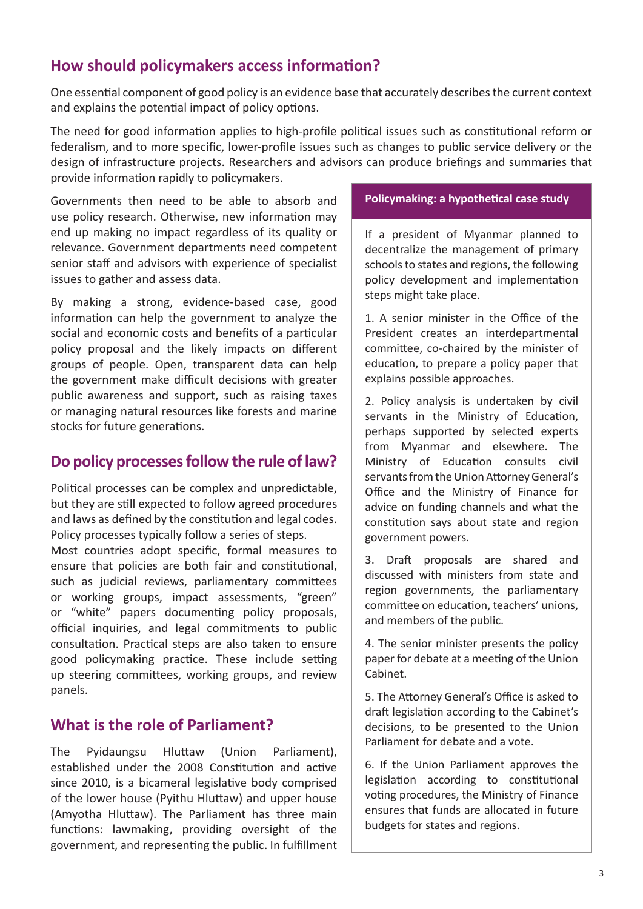### **How should policymakers access information?**

One essential component of good policy is an evidence base that accurately describes the current context and explains the potential impact of policy options.

The need for good information applies to high-profile political issues such as constitutional reform or federalism, and to more specific, lower-profile issues such as changes to public service delivery or the design of infrastructure projects. Researchers and advisors can produce briefings and summaries that provide information rapidly to policymakers.

Governments then need to be able to absorb and use policy research. Otherwise, new information may end up making no impact regardless of its quality or relevance. Government departments need competent senior staff and advisors with experience of specialist issues to gather and assess data.

By making a strong, evidence-based case, good information can help the government to analyze the social and economic costs and benefits of a particular policy proposal and the likely impacts on different groups of people. Open, transparent data can help the government make difficult decisions with greater public awareness and support, such as raising taxes or managing natural resources like forests and marine stocks for future generations.

#### **Do policy processes follow the rule of law?**

Political processes can be complex and unpredictable, but they are still expected to follow agreed procedures and laws as defined by the constitution and legal codes. Policy processes typically follow a series of steps.

Most countries adopt specific, formal measures to ensure that policies are both fair and constitutional, such as judicial reviews, parliamentary committees or working groups, impact assessments, "green" or "white" papers documenting policy proposals, official inquiries, and legal commitments to public consultation. Practical steps are also taken to ensure good policymaking practice. These include setting up steering committees, working groups, and review panels.

#### **What is the role of Parliament?**

The Pyidaungsu Hluttaw (Union Parliament), established under the 2008 Constitution and active since 2010, is a bicameral legislative body comprised of the lower house (Pyithu Hluttaw) and upper house (Amyotha Hluttaw). The Parliament has three main functions: lawmaking, providing oversight of the government, and representing the public. In fulfillment

#### **Policymaking: a hypothetical case study**

If a president of Myanmar planned to decentralize the management of primary schools to states and regions, the following policy development and implementation steps might take place.

1. A senior minister in the Office of the President creates an interdepartmental committee, co-chaired by the minister of education, to prepare a policy paper that explains possible approaches.

2. Policy analysis is undertaken by civil servants in the Ministry of Education, perhaps supported by selected experts from Myanmar and elsewhere. The Ministry of Education consults civil servants from the Union Attorney General's Office and the Ministry of Finance for advice on funding channels and what the constitution says about state and region government powers.

3. Draft proposals are shared and discussed with ministers from state and region governments, the parliamentary committee on education, teachers' unions, and members of the public.

4. The senior minister presents the policy paper for debate at a meeting of the Union Cabinet.

5. The Attorney General's Office is asked to draft legislation according to the Cabinet's decisions, to be presented to the Union Parliament for debate and a vote.

6. If the Union Parliament approves the legislation according to constitutional voting procedures, the Ministry of Finance ensures that funds are allocated in future budgets for states and regions.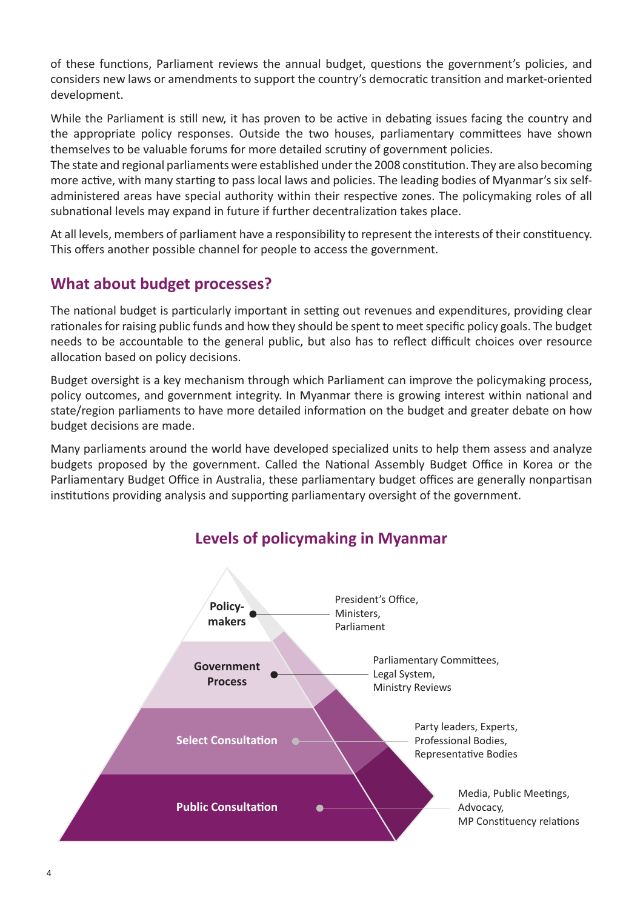of these functions, Parliament reviews the annual budget, questions the government's policies, and considers new laws or amendments to support the country's democratic transition and market-oriented development.

While the Parliament is still new, it has proven to be active in debating issues facing the country and the appropriate policy responses. Outside the two houses, parliamentary committees have shown themselves to be valuable forums for more detailed scrutiny of government policies.

The state and regional parliaments were established under the 2008 constitution. They are also becoming more active, with many starting to pass local laws and policies. The leading bodies of Myanmar's six selfadministered areas have special authority within their respective zones. The policymaking roles of all subnational levels may expand in future if further decentralization takes place.

At all levels, members of parliament have a responsibility to represent the interests of their constituency. This offers another possible channel for people to access the government.

# **What about budget processes?**

The national budget is particularly important in setting out revenues and expenditures, providing clear rationales for raising public funds and how they should be spent to meet specific policy goals. The budget needs to be accountable to the general public, but also has to reflect difficult choices over resource allocation based on policy decisions.

Budget oversight is a key mechanism through which Parliament can improve the policymaking process, policy outcomes, and government integrity. In Myanmar there is growing interest within national and state/region parliaments to have more detailed information on the budget and greater debate on how budget decisions are made.

Many parliaments around the world have developed specialized units to help them assess and analyze budgets proposed by the government. Called the National Assembly Budget Office in Korea or the Parliamentary Budget Office in Australia, these parliamentary budget offices are generally nonpartisan institutions providing analysis and supporting parliamentary oversight of the government.



# **Levels of policymaking in Myanmar**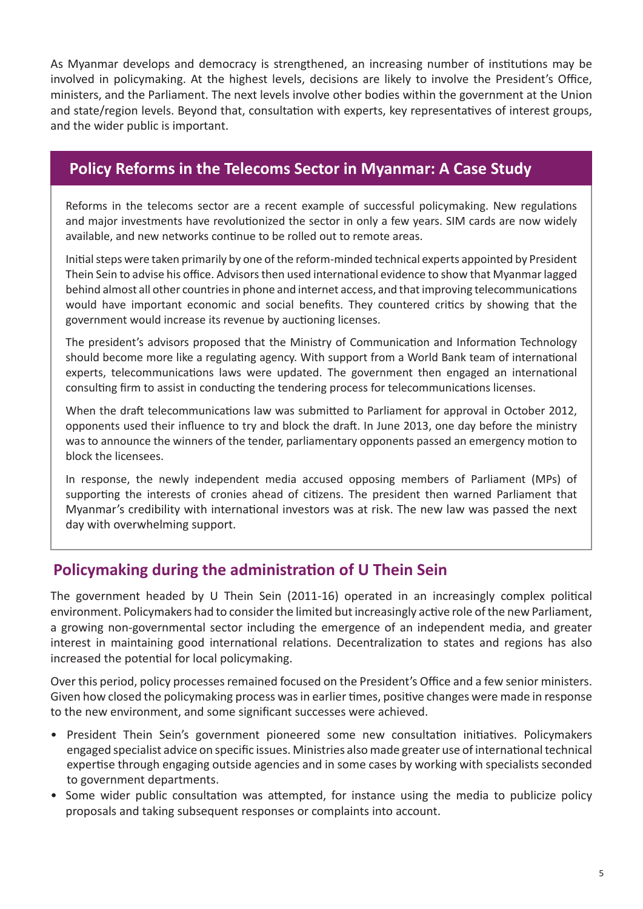As Myanmar develops and democracy is strengthened, an increasing number of institutions may be involved in policymaking. At the highest levels, decisions are likely to involve the President's Office, ministers, and the Parliament. The next levels involve other bodies within the government at the Union and state/region levels. Beyond that, consultation with experts, key representatives of interest groups, and the wider public is important.

#### **Policy Reforms in the Telecoms Sector in Myanmar: A Case Study**

Reforms in the telecoms sector are a recent example of successful policymaking. New regulations and major investments have revolutionized the sector in only a few years. SIM cards are now widely available, and new networks continue to be rolled out to remote areas.

Initial steps were taken primarily by one of the reform-minded technical experts appointed by President Thein Sein to advise his office. Advisors then used international evidence to show that Myanmar lagged behind almost all other countries in phone and internet access, and that improving telecommunications would have important economic and social benefits. They countered critics by showing that the government would increase its revenue by auctioning licenses.

The president's advisors proposed that the Ministry of Communication and Information Technology should become more like a regulating agency. With support from a World Bank team of international experts, telecommunications laws were updated. The government then engaged an international consulting firm to assist in conducting the tendering process for telecommunications licenses.

When the draft telecommunications law was submitted to Parliament for approval in October 2012, opponents used their influence to try and block the draft. In June 2013, one day before the ministry was to announce the winners of the tender, parliamentary opponents passed an emergency motion to block the licensees.

In response, the newly independent media accused opposing members of Parliament (MPs) of supporting the interests of cronies ahead of citizens. The president then warned Parliament that Myanmar's credibility with international investors was at risk. The new law was passed the next day with overwhelming support.

### **Policymaking during the administration of U Thein Sein**

The government headed by U Thein Sein (2011-16) operated in an increasingly complex political environment. Policymakers had to consider the limited but increasingly active role of the new Parliament, a growing non-governmental sector including the emergence of an independent media, and greater interest in maintaining good international relations. Decentralization to states and regions has also increased the potential for local policymaking.

Over this period, policy processes remained focused on the President's Office and a few senior ministers. Given how closed the policymaking process was in earlier times, positive changes were made in response to the new environment, and some significant successes were achieved.

- President Thein Sein's government pioneered some new consultation initiatives. Policymakers engaged specialist advice on specific issues. Ministries also made greater use of international technical expertise through engaging outside agencies and in some cases by working with specialists seconded to government departments.
- Some wider public consultation was attempted, for instance using the media to publicize policy proposals and taking subsequent responses or complaints into account.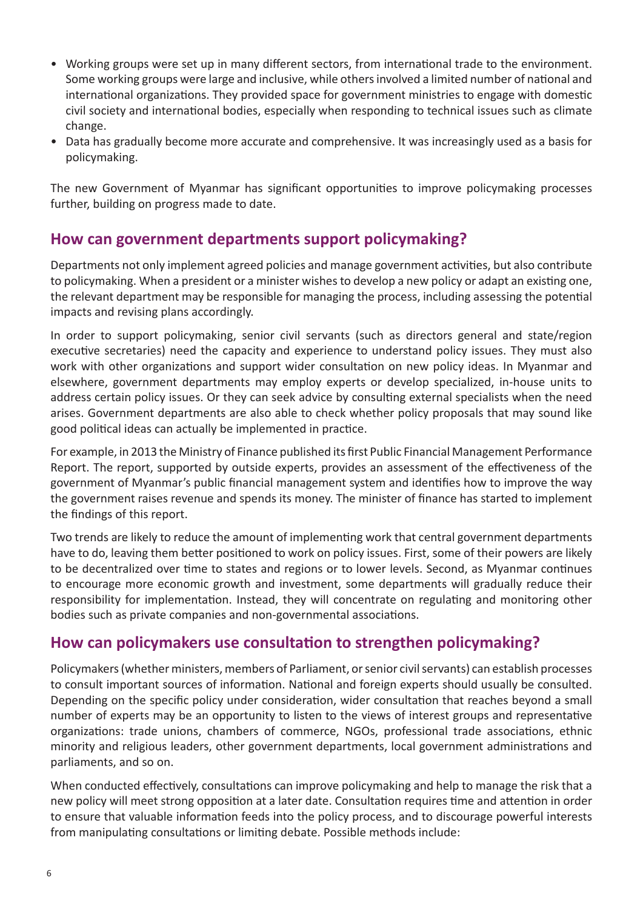- Working groups were set up in many different sectors, from international trade to the environment. Some working groups were large and inclusive, while others involved a limited number of national and international organizations. They provided space for government ministries to engage with domestic civil society and international bodies, especially when responding to technical issues such as climate change.
- Data has gradually become more accurate and comprehensive. It was increasingly used as a basis for policymaking.

The new Government of Myanmar has significant opportunities to improve policymaking processes further, building on progress made to date.

#### **How can government departments support policymaking?**

Departments not only implement agreed policies and manage government activities, but also contribute to policymaking. When a president or a minister wishes to develop a new policy or adapt an existing one, the relevant department may be responsible for managing the process, including assessing the potential impacts and revising plans accordingly.

In order to support policymaking, senior civil servants (such as directors general and state/region executive secretaries) need the capacity and experience to understand policy issues. They must also work with other organizations and support wider consultation on new policy ideas. In Myanmar and elsewhere, government departments may employ experts or develop specialized, in-house units to address certain policy issues. Or they can seek advice by consulting external specialists when the need arises. Government departments are also able to check whether policy proposals that may sound like good political ideas can actually be implemented in practice.

For example, in 2013 the Ministry of Finance published its first Public Financial Management Performance Report. The report, supported by outside experts, provides an assessment of the effectiveness of the government of Myanmar's public financial management system and identifies how to improve the way the government raises revenue and spends its money. The minister of finance has started to implement the findings of this report.

Two trends are likely to reduce the amount of implementing work that central government departments have to do, leaving them better positioned to work on policy issues. First, some of their powers are likely to be decentralized over time to states and regions or to lower levels. Second, as Myanmar continues to encourage more economic growth and investment, some departments will gradually reduce their responsibility for implementation. Instead, they will concentrate on regulating and monitoring other bodies such as private companies and non-governmental associations.

### **How can policymakers use consultation to strengthen policymaking?**

Policymakers (whether ministers, members of Parliament, or senior civil servants) can establish processes to consult important sources of information. National and foreign experts should usually be consulted. Depending on the specific policy under consideration, wider consultation that reaches beyond a small number of experts may be an opportunity to listen to the views of interest groups and representative organizations: trade unions, chambers of commerce, NGOs, professional trade associations, ethnic minority and religious leaders, other government departments, local government administrations and parliaments, and so on.

When conducted effectively, consultations can improve policymaking and help to manage the risk that a new policy will meet strong opposition at a later date. Consultation requires time and attention in order to ensure that valuable information feeds into the policy process, and to discourage powerful interests from manipulating consultations or limiting debate. Possible methods include: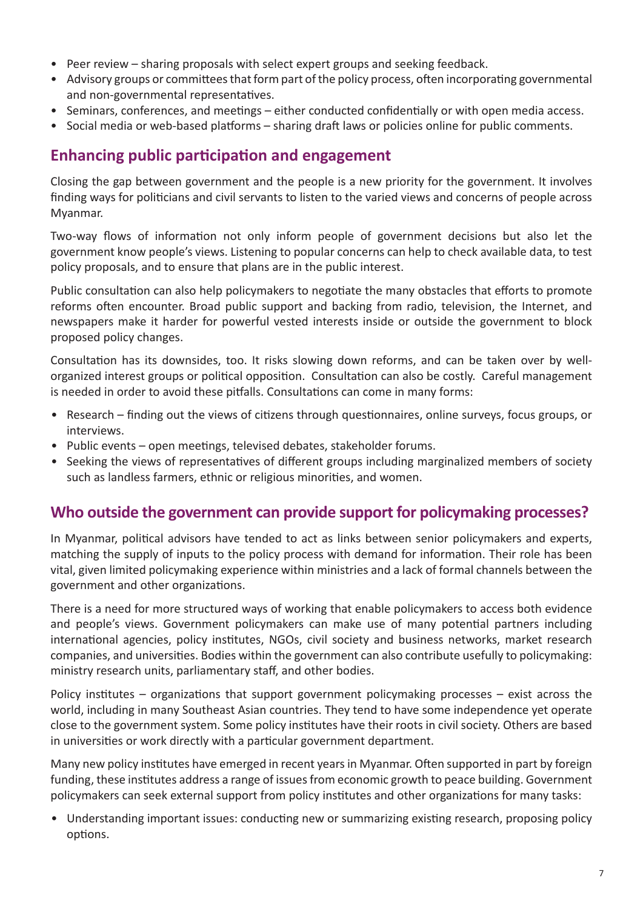- Peer review sharing proposals with select expert groups and seeking feedback.
- Advisory groups or committees that form part of the policy process, often incorporating governmental and non-governmental representatives.
- Seminars, conferences, and meetings either conducted confidentially or with open media access.
- Social media or web-based platforms sharing draft laws or policies online for public comments.

#### **Enhancing public participation and engagement**

Closing the gap between government and the people is a new priority for the government. It involves finding ways for politicians and civil servants to listen to the varied views and concerns of people across Myanmar.

Two-way flows of information not only inform people of government decisions but also let the government know people's views. Listening to popular concerns can help to check available data, to test policy proposals, and to ensure that plans are in the public interest.

Public consultation can also help policymakers to negotiate the many obstacles that efforts to promote reforms often encounter. Broad public support and backing from radio, television, the Internet, and newspapers make it harder for powerful vested interests inside or outside the government to block proposed policy changes.

Consultation has its downsides, too. It risks slowing down reforms, and can be taken over by wellorganized interest groups or political opposition. Consultation can also be costly. Careful management is needed in order to avoid these pitfalls. Consultations can come in many forms:

- Research finding out the views of citizens through questionnaires, online surveys, focus groups, or interviews.
- Public events open meetings, televised debates, stakeholder forums.
- Seeking the views of representatives of different groups including marginalized members of society such as landless farmers, ethnic or religious minorities, and women.

#### **Who outside the government can provide support for policymaking processes?**

In Myanmar, political advisors have tended to act as links between senior policymakers and experts, matching the supply of inputs to the policy process with demand for information. Their role has been vital, given limited policymaking experience within ministries and a lack of formal channels between the government and other organizations.

There is a need for more structured ways of working that enable policymakers to access both evidence and people's views. Government policymakers can make use of many potential partners including international agencies, policy institutes, NGOs, civil society and business networks, market research companies, and universities. Bodies within the government can also contribute usefully to policymaking: ministry research units, parliamentary staff, and other bodies.

Policy institutes – organizations that support government policymaking processes – exist across the world, including in many Southeast Asian countries. They tend to have some independence yet operate close to the government system. Some policy institutes have their roots in civil society. Others are based in universities or work directly with a particular government department.

Many new policy institutes have emerged in recent years in Myanmar. Often supported in part by foreign funding, these institutes address a range of issues from economic growth to peace building. Government policymakers can seek external support from policy institutes and other organizations for many tasks:

• Understanding important issues: conducting new or summarizing existing research, proposing policy options.